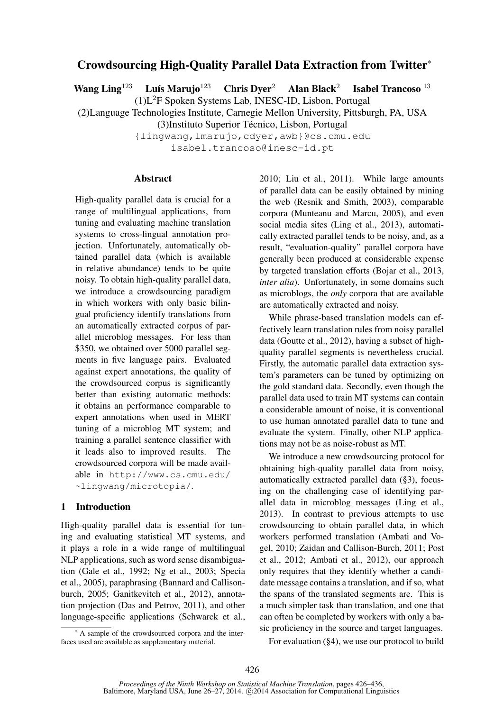## Crowdsourcing High-Quality Parallel Data Extraction from Twitter<sup>∗</sup>

Wang Ling<sup>123</sup> Luís Marujo<sup>123</sup> Chris Dyer<sup>2</sup> Alan Black<sup>2</sup> Isabel Trancoso <sup>13</sup> (1)L<sup>2</sup>F Spoken Systems Lab, INESC-ID, Lisbon, Portugal

(2)Language Technologies Institute, Carnegie Mellon University, Pittsburgh, PA, USA

(3)Instituto Superior Técnico, Lisbon, Portugal

{lingwang,lmarujo,cdyer,awb}@cs.cmu.edu isabel.trancoso@inesc-id.pt

### Abstract

High-quality parallel data is crucial for a range of multilingual applications, from tuning and evaluating machine translation systems to cross-lingual annotation projection. Unfortunately, automatically obtained parallel data (which is available in relative abundance) tends to be quite noisy. To obtain high-quality parallel data, we introduce a crowdsourcing paradigm in which workers with only basic bilingual proficiency identify translations from an automatically extracted corpus of parallel microblog messages. For less than \$350, we obtained over 5000 parallel segments in five language pairs. Evaluated against expert annotations, the quality of the crowdsourced corpus is significantly better than existing automatic methods: it obtains an performance comparable to expert annotations when used in MERT tuning of a microblog MT system; and training a parallel sentence classifier with it leads also to improved results. The crowdsourced corpora will be made available in http://www.cs.cmu.edu/ ~lingwang/microtopia/.

## 1 Introduction

High-quality parallel data is essential for tuning and evaluating statistical MT systems, and it plays a role in a wide range of multilingual NLP applications, such as word sense disambiguation (Gale et al., 1992; Ng et al., 2003; Specia et al., 2005), paraphrasing (Bannard and Callisonburch, 2005; Ganitkevitch et al., 2012), annotation projection (Das and Petrov, 2011), and other language-specific applications (Schwarck et al.,

<sup>∗</sup> A sample of the crowdsourced corpora and the interfaces used are available as supplementary material.

2010; Liu et al., 2011). While large amounts of parallel data can be easily obtained by mining the web (Resnik and Smith, 2003), comparable corpora (Munteanu and Marcu, 2005), and even social media sites (Ling et al., 2013), automatically extracted parallel tends to be noisy, and, as a result, "evaluation-quality" parallel corpora have generally been produced at considerable expense by targeted translation efforts (Bojar et al., 2013, *inter alia*). Unfortunately, in some domains such as microblogs, the *only* corpora that are available are automatically extracted and noisy.

While phrase-based translation models can effectively learn translation rules from noisy parallel data (Goutte et al., 2012), having a subset of highquality parallel segments is nevertheless crucial. Firstly, the automatic parallel data extraction system's parameters can be tuned by optimizing on the gold standard data. Secondly, even though the parallel data used to train MT systems can contain a considerable amount of noise, it is conventional to use human annotated parallel data to tune and evaluate the system. Finally, other NLP applications may not be as noise-robust as MT.

We introduce a new crowdsourcing protocol for obtaining high-quality parallel data from noisy, automatically extracted parallel data (§3), focusing on the challenging case of identifying parallel data in microblog messages (Ling et al., 2013). In contrast to previous attempts to use crowdsourcing to obtain parallel data, in which workers performed translation (Ambati and Vogel, 2010; Zaidan and Callison-Burch, 2011; Post et al., 2012; Ambati et al., 2012), our approach only requires that they identify whether a candidate message contains a translation, and if so, what the spans of the translated segments are. This is a much simpler task than translation, and one that can often be completed by workers with only a basic proficiency in the source and target languages.

For evaluation (§4), we use our protocol to build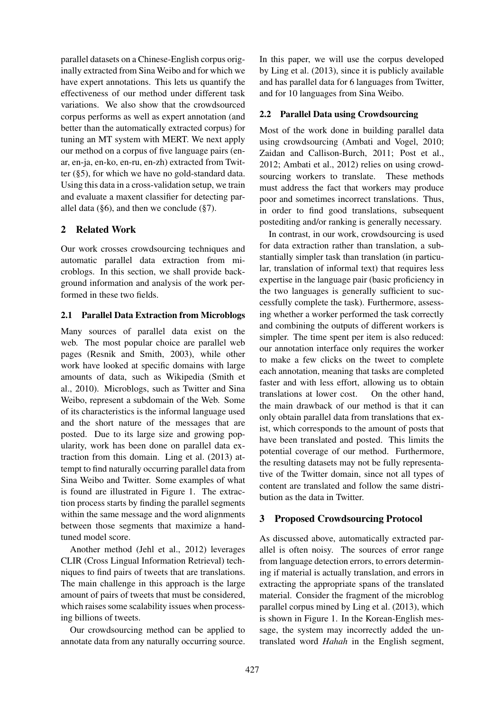parallel datasets on a Chinese-English corpus originally extracted from Sina Weibo and for which we have expert annotations. This lets us quantify the effectiveness of our method under different task variations. We also show that the crowdsourced corpus performs as well as expert annotation (and better than the automatically extracted corpus) for tuning an MT system with MERT. We next apply our method on a corpus of five language pairs (enar, en-ja, en-ko, en-ru, en-zh) extracted from Twitter (§5), for which we have no gold-standard data. Using this data in a cross-validation setup, we train and evaluate a maxent classifier for detecting parallel data ( $\S6$ ), and then we conclude ( $\S7$ ).

## 2 Related Work

Our work crosses crowdsourcing techniques and automatic parallel data extraction from microblogs. In this section, we shall provide background information and analysis of the work performed in these two fields.

## 2.1 Parallel Data Extraction from Microblogs

Many sources of parallel data exist on the web. The most popular choice are parallel web pages (Resnik and Smith, 2003), while other work have looked at specific domains with large amounts of data, such as Wikipedia (Smith et al., 2010). Microblogs, such as Twitter and Sina Weibo, represent a subdomain of the Web. Some of its characteristics is the informal language used and the short nature of the messages that are posted. Due to its large size and growing popularity, work has been done on parallel data extraction from this domain. Ling et al. (2013) attempt to find naturally occurring parallel data from Sina Weibo and Twitter. Some examples of what is found are illustrated in Figure 1. The extraction process starts by finding the parallel segments within the same message and the word alignments between those segments that maximize a handtuned model score.

Another method (Jehl et al., 2012) leverages CLIR (Cross Lingual Information Retrieval) techniques to find pairs of tweets that are translations. The main challenge in this approach is the large amount of pairs of tweets that must be considered, which raises some scalability issues when processing billions of tweets.

Our crowdsourcing method can be applied to annotate data from any naturally occurring source.

In this paper, we will use the corpus developed by Ling et al. (2013), since it is publicly available and has parallel data for 6 languages from Twitter, and for 10 languages from Sina Weibo.

## 2.2 Parallel Data using Crowdsourcing

Most of the work done in building parallel data using crowdsourcing (Ambati and Vogel, 2010; Zaidan and Callison-Burch, 2011; Post et al., 2012; Ambati et al., 2012) relies on using crowdsourcing workers to translate. These methods must address the fact that workers may produce poor and sometimes incorrect translations. Thus, in order to find good translations, subsequent postediting and/or ranking is generally necessary.

In contrast, in our work, crowdsourcing is used for data extraction rather than translation, a substantially simpler task than translation (in particular, translation of informal text) that requires less expertise in the language pair (basic proficiency in the two languages is generally sufficient to successfully complete the task). Furthermore, assessing whether a worker performed the task correctly and combining the outputs of different workers is simpler. The time spent per item is also reduced: our annotation interface only requires the worker to make a few clicks on the tweet to complete each annotation, meaning that tasks are completed faster and with less effort, allowing us to obtain translations at lower cost. On the other hand, the main drawback of our method is that it can only obtain parallel data from translations that exist, which corresponds to the amount of posts that have been translated and posted. This limits the potential coverage of our method. Furthermore, the resulting datasets may not be fully representative of the Twitter domain, since not all types of content are translated and follow the same distribution as the data in Twitter.

## 3 Proposed Crowdsourcing Protocol

As discussed above, automatically extracted parallel is often noisy. The sources of error range from language detection errors, to errors determining if material is actually translation, and errors in extracting the appropriate spans of the translated material. Consider the fragment of the microblog parallel corpus mined by Ling et al. (2013), which is shown in Figure 1. In the Korean-English message, the system may incorrectly added the untranslated word *Hahah* in the English segment,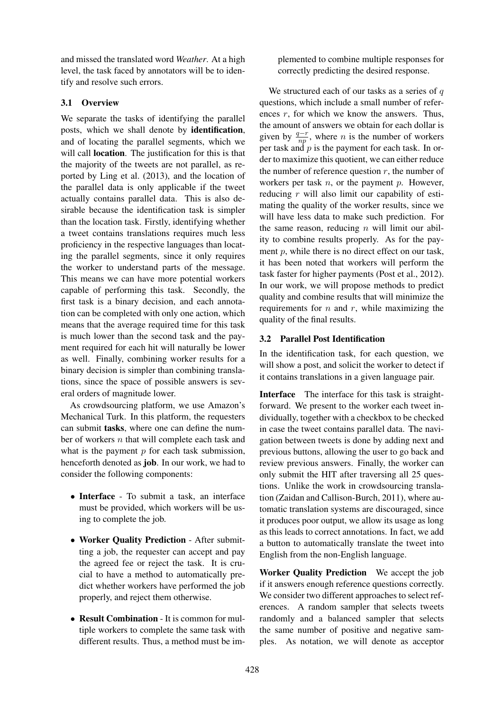and missed the translated word *Weather*. At a high level, the task faced by annotators will be to identify and resolve such errors.

## 3.1 Overview

We separate the tasks of identifying the parallel posts, which we shall denote by identification, and of locating the parallel segments, which we will call **location**. The justification for this is that the majority of the tweets are not parallel, as reported by Ling et al. (2013), and the location of the parallel data is only applicable if the tweet actually contains parallel data. This is also desirable because the identification task is simpler than the location task. Firstly, identifying whether a tweet contains translations requires much less proficiency in the respective languages than locating the parallel segments, since it only requires the worker to understand parts of the message. This means we can have more potential workers capable of performing this task. Secondly, the first task is a binary decision, and each annotation can be completed with only one action, which means that the average required time for this task is much lower than the second task and the payment required for each hit will naturally be lower as well. Finally, combining worker results for a binary decision is simpler than combining translations, since the space of possible answers is several orders of magnitude lower.

As crowdsourcing platform, we use Amazon's Mechanical Turk. In this platform, the requesters can submit tasks, where one can define the number of workers  $n$  that will complete each task and what is the payment  $p$  for each task submission, henceforth denoted as job. In our work, we had to consider the following components:

- Interface To submit a task, an interface must be provided, which workers will be using to complete the job.
- Worker Quality Prediction After submitting a job, the requester can accept and pay the agreed fee or reject the task. It is crucial to have a method to automatically predict whether workers have performed the job properly, and reject them otherwise.
- Result Combination It is common for multiple workers to complete the same task with different results. Thus, a method must be im-

plemented to combine multiple responses for correctly predicting the desired response.

We structured each of our tasks as a series of  $q$ questions, which include a small number of references  $r$ , for which we know the answers. Thus, the amount of answers we obtain for each dollar is given by  $\frac{q-r}{np}$ , where *n* is the number of workers per task and  $p$  is the payment for each task. In order to maximize this quotient, we can either reduce the number of reference question  $r$ , the number of workers per task  $n$ , or the payment  $p$ . However, reducing  $r$  will also limit our capability of estimating the quality of the worker results, since we will have less data to make such prediction. For the same reason, reducing  $n$  will limit our ability to combine results properly. As for the payment p, while there is no direct effect on our task, it has been noted that workers will perform the task faster for higher payments (Post et al., 2012). In our work, we will propose methods to predict quality and combine results that will minimize the requirements for  $n$  and  $r$ , while maximizing the quality of the final results.

## 3.2 Parallel Post Identification

In the identification task, for each question, we will show a post, and solicit the worker to detect if it contains translations in a given language pair.

Interface The interface for this task is straightforward. We present to the worker each tweet individually, together with a checkbox to be checked in case the tweet contains parallel data. The navigation between tweets is done by adding next and previous buttons, allowing the user to go back and review previous answers. Finally, the worker can only submit the HIT after traversing all 25 questions. Unlike the work in crowdsourcing translation (Zaidan and Callison-Burch, 2011), where automatic translation systems are discouraged, since it produces poor output, we allow its usage as long as this leads to correct annotations. In fact, we add a button to automatically translate the tweet into English from the non-English language.

Worker Quality Prediction We accept the job if it answers enough reference questions correctly. We consider two different approaches to select references. A random sampler that selects tweets randomly and a balanced sampler that selects the same number of positive and negative samples. As notation, we will denote as acceptor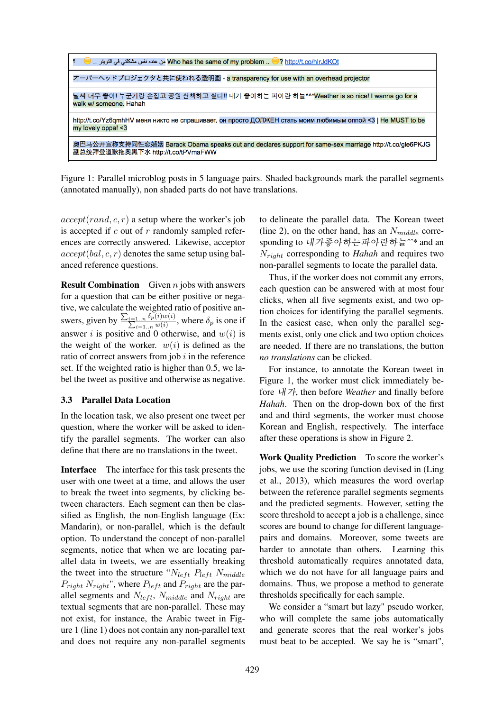

Figure 1: Parallel microblog posts in 5 language pairs. Shaded backgrounds mark the parallel segments (annotated manually), non shaded parts do not have translations.

 $accept(rand, c, r)$  a setup where the worker's job is accepted if  $c$  out of  $r$  randomly sampled references are correctly answered. Likewise, acceptor  $accept(bal, c, r)$  denotes the same setup using balanced reference questions.

**Result Combination** Given  $n$  jobs with answers for a question that can be either positive or negative, we calculate the weighted ratio of positive answers, given by  $\frac{\sum_{i=1...n} \delta_p(i)w(i)}{\sum_{i=1}^n w(i)}$  $\frac{1 \ldots n^{0} p(v) w(v)}{i=1 \ldots n^{w(i)}}$ , where  $\delta_p$  is one if answer i is positive and 0 otherwise, and  $w(i)$  is the weight of the worker.  $w(i)$  is defined as the ratio of correct answers from job  $i$  in the reference set. If the weighted ratio is higher than 0.5, we label the tweet as positive and otherwise as negative.

### 3.3 Parallel Data Location

In the location task, we also present one tweet per question, where the worker will be asked to identify the parallel segments. The worker can also define that there are no translations in the tweet.

Interface The interface for this task presents the user with one tweet at a time, and allows the user to break the tweet into segments, by clicking between characters. Each segment can then be classified as English, the non-English language (Ex: Mandarin), or non-parallel, which is the default option. To understand the concept of non-parallel segments, notice that when we are locating parallel data in tweets, we are essentially breaking the tweet into the structure " $N_{left}$   $P_{left}$   $N_{middle}$  $P_{right} N_{right}$ ", where  $P_{left}$  and  $P_{right}$  are the parallel segments and  $N_{left}$ ,  $N_{middle}$  and  $N_{right}$  are textual segments that are non-parallel. These may not exist, for instance, the Arabic tweet in Figure 1 (line 1) does not contain any non-parallel text and does not require any non-parallel segments

to delineate the parallel data. The Korean tweet (line 2), on the other hand, has an  $N_{middle}$  corresponding to 내가좋아하는파아란하늘*ˆˆ\** and an Nright corresponding to *Hahah* and requires two non-parallel segments to locate the parallel data.

Thus, if the worker does not commit any errors, each question can be answered with at most four clicks, when all five segments exist, and two option choices for identifying the parallel segments. In the easiest case, when only the parallel segments exist, only one click and two option choices are needed. If there are no translations, the button *no translations* can be clicked.

For instance, to annotate the Korean tweet in Figure 1, the worker must click immediately before 내가, then before *Weather* and finally before *Hahah*. Then on the drop-down box of the first and and third segments, the worker must choose Korean and English, respectively. The interface after these operations is show in Figure 2.

Work Quality Prediction To score the worker's jobs, we use the scoring function devised in (Ling et al., 2013), which measures the word overlap between the reference parallel segments segments and the predicted segments. However, setting the score threshold to accept a job is a challenge, since scores are bound to change for different languagepairs and domains. Moreover, some tweets are harder to annotate than others. Learning this threshold automatically requires annotated data, which we do not have for all language pairs and domains. Thus, we propose a method to generate thresholds specifically for each sample.

We consider a "smart but lazy" pseudo worker, who will complete the same jobs automatically and generate scores that the real worker's jobs must beat to be accepted. We say he is "smart",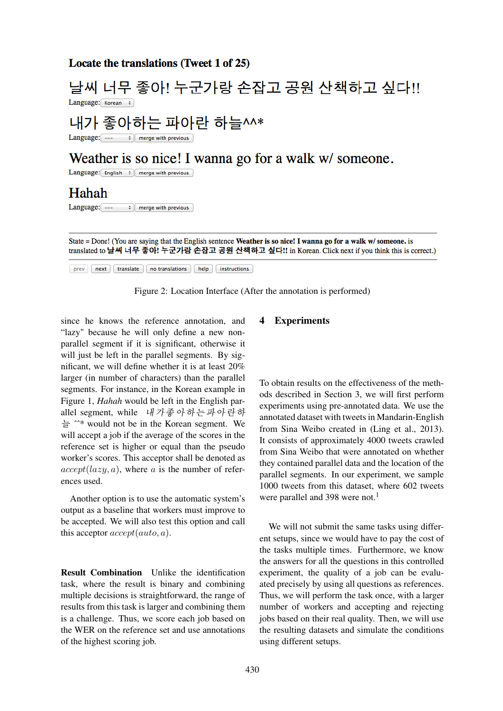## Locate the translations (Tweet 1 of 25)

# 날씨 너무 좋아! 누군가랑 손잡고 공원 산책하고 싶다!! Language: Korean :

# 내가 좋아하는 파아란 하늘^^\*

Language:  $\left[- - - \frac{1}{2}\right]$  merge with previous

# Weather is so nice! I wanna go for a walk w/ someone.

Language: English  $\div$  merge with previous

## Hahah

Language: ---  $\qquad$   $\Rightarrow$  merge with previous

State = Done! (You are saying that the English sentence Weather is so nice! I wanna go for a walk w/ someone. is translated to 날씨 너무 좋아! 누군가랑 손잡고 공원 산책하고 싶다!! in Korean. Click next if you think this is correct.)

[prev] [next] [translate ] [no translations ] [help ] [instructions

Figure 2: Location Interface (After the annotation is performed)

since he knows the reference annotation, and "lazy" because he will only define a new nonparallel segment if it is significant, otherwise it will just be left in the parallel segments. By significant, we will define whether it is at least 20% larger (in number of characters) than the parallel segments. For instance, in the Korean example in Figure 1, *Hahah* would be left in the English parallel segment, while 내가좋아하는파아란하 늘 *ˆˆ\** would not be in the Korean segment. We will accept a job if the average of the scores in the reference set is higher or equal than the pseudo worker's scores. This acceptor shall be denoted as  $accept(lazy, a)$ , where a is the number of references used.

Another option is to use the automatic system's output as a baseline that workers must improve to be accepted. We will also test this option and call this acceptor  $accept(auto, a)$ .

Result Combination Unlike the identification task, where the result is binary and combining multiple decisions is straightforward, the range of results from this task is larger and combining them is a challenge. Thus, we score each job based on the WER on the reference set and use annotations of the highest scoring job.

## 4 Experiments

To obtain results on the effectiveness of the methods described in Section 3, we will first perform experiments using pre-annotated data. We use the annotated dataset with tweets in Mandarin-English from Sina Weibo created in (Ling et al., 2013). It consists of approximately 4000 tweets crawled from Sina Weibo that were annotated on whether they contained parallel data and the location of the parallel segments. In our experiment, we sample 1000 tweets from this dataset, where 602 tweets were parallel and 398 were not.<sup>1</sup>

We will not submit the same tasks using different setups, since we would have to pay the cost of the tasks multiple times. Furthermore, we know the answers for all the questions in this controlled experiment, the quality of a job can be evaluated precisely by using all questions as references. Thus, we will perform the task once, with a larger number of workers and accepting and rejecting jobs based on their real quality. Then, we will use the resulting datasets and simulate the conditions using different setups.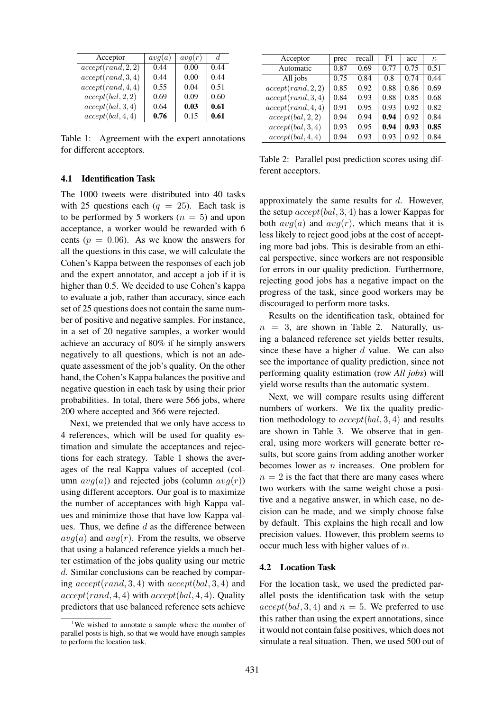| Acceptor           | avq(a) | avq(r) | d.   |
|--------------------|--------|--------|------|
| accept(rand, 2, 2) | 0.44   | 0.00   | 0.44 |
| accept(rand, 3, 4) | 0.44   | 0.00   | 0.44 |
| accept(rand, 4, 4) | 0.55   | 0.04   | 0.51 |
| accept(bal, 2, 2)  | 0.69   | 0.09   | 0.60 |
| accept(bal, 3, 4)  | 0.64   | 0.03   | 0.61 |
| accept(bal, 4, 4)  | 0.76   | 0.15   | 0.61 |

Table 1: Agreement with the expert annotations for different acceptors.

#### 4.1 Identification Task

The 1000 tweets were distributed into 40 tasks with 25 questions each  $(q = 25)$ . Each task is to be performed by 5 workers  $(n = 5)$  and upon acceptance, a worker would be rewarded with 6 cents ( $p = 0.06$ ). As we know the answers for all the questions in this case, we will calculate the Cohen's Kappa between the responses of each job and the expert annotator, and accept a job if it is higher than 0.5. We decided to use Cohen's kappa to evaluate a job, rather than accuracy, since each set of 25 questions does not contain the same number of positive and negative samples. For instance, in a set of 20 negative samples, a worker would achieve an accuracy of 80% if he simply answers negatively to all questions, which is not an adequate assessment of the job's quality. On the other hand, the Cohen's Kappa balances the positive and negative question in each task by using their prior probabilities. In total, there were 566 jobs, where 200 where accepted and 366 were rejected.

Next, we pretended that we only have access to 4 references, which will be used for quality estimation and simulate the acceptances and rejections for each strategy. Table 1 shows the averages of the real Kappa values of accepted (column  $avg(a)$  and rejected jobs (column  $avg(r)$ ) using different acceptors. Our goal is to maximize the number of acceptances with high Kappa values and minimize those that have low Kappa values. Thus, we define  $d$  as the difference between  $avg(a)$  and  $avg(r)$ . From the results, we observe that using a balanced reference yields a much better estimation of the jobs quality using our metric d. Similar conclusions can be reached by comparing  $accept(rand, 3, 4)$  with  $accept(bal, 3, 4)$  and  $accept(rand, 4, 4)$  with  $accept(bal, 4, 4)$ . Quality predictors that use balanced reference sets achieve

| Acceptor           | prec | recall | F <sub>1</sub> | acc  | $\kappa$ |
|--------------------|------|--------|----------------|------|----------|
| Automatic          | 0.87 | 0.69   | 0.77           | 0.75 | 0.51     |
| All jobs           | 0.75 | 0.84   | 0.8            | 0.74 | 0.44     |
| accept(rand, 2, 2) | 0.85 | 0.92   | 0.88           | 0.86 | 0.69     |
| accept(rand, 3, 4) | 0.84 | 0.93   | 0.88           | 0.85 | 0.68     |
| accept(rand, 4, 4) | 0.91 | 0.95   | 0.93           | 0.92 | 0.82     |
| accept(bal, 2, 2)  | 0.94 | 0.94   | 0.94           | 0.92 | 0.84     |
| accept(bal, 3, 4)  | 0.93 | 0.95   | 0.94           | 0.93 | 0.85     |
| accept(bal, 4, 4)  | 0.94 | 0.93   | 0.93           | 0.92 | 0.84     |

Table 2: Parallel post prediction scores using different acceptors.

approximately the same results for d. However, the setup  $accept(bal, 3, 4)$  has a lower Kappas for both  $avg(a)$  and  $avg(r)$ , which means that it is less likely to reject good jobs at the cost of accepting more bad jobs. This is desirable from an ethical perspective, since workers are not responsible for errors in our quality prediction. Furthermore, rejecting good jobs has a negative impact on the progress of the task, since good workers may be discouraged to perform more tasks.

Results on the identification task, obtained for  $n = 3$ , are shown in Table 2. Naturally, using a balanced reference set yields better results, since these have a higher  $d$  value. We can also see the importance of quality prediction, since not performing quality estimation (row *All jobs*) will yield worse results than the automatic system.

Next, we will compare results using different numbers of workers. We fix the quality prediction methodology to  $accept(bal, 3, 4)$  and results are shown in Table 3. We observe that in general, using more workers will generate better results, but score gains from adding another worker becomes lower as  $n$  increases. One problem for  $n = 2$  is the fact that there are many cases where two workers with the same weight chose a positive and a negative answer, in which case, no decision can be made, and we simply choose false by default. This explains the high recall and low precision values. However, this problem seems to occur much less with higher values of  $n$ .

### 4.2 Location Task

For the location task, we used the predicted parallel posts the identification task with the setup  $accept(bal, 3, 4)$  and  $n = 5$ . We preferred to use this rather than using the expert annotations, since it would not contain false positives, which does not simulate a real situation. Then, we used 500 out of

<sup>&</sup>lt;sup>1</sup>We wished to annotate a sample where the number of parallel posts is high, so that we would have enough samples to perform the location task.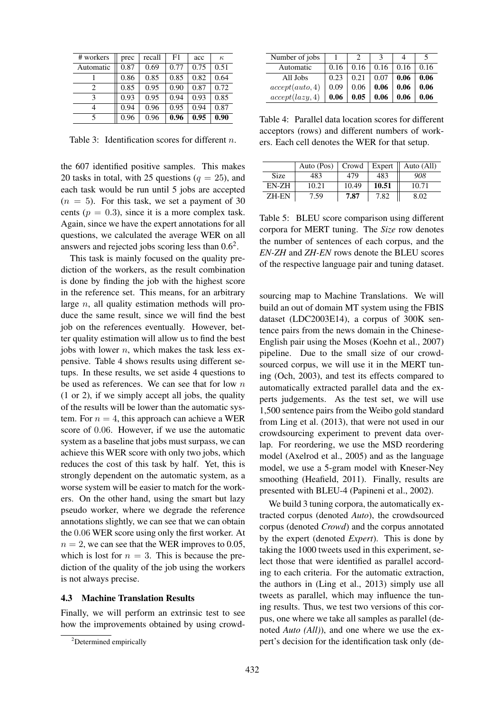| # workers                   | prec | recall | F <sub>1</sub> | acc  | $\kappa$ |
|-----------------------------|------|--------|----------------|------|----------|
| Automatic                   | 0.87 | 0.69   | 0.77           | 0.75 | 0.51     |
|                             | 0.86 | 0.85   | 0.85           | 0.82 | 0.64     |
| $\mathcal{D}_{\mathcal{L}}$ | 0.85 | 0.95   | 0.90           | 0.87 | 0.72     |
| 3                           | 0.93 | 0.95   | 0.94           | 0.93 | 0.85     |
| 4                           | 0.94 | 0.96   | 0.95           | 0.94 | 0.87     |
| 5                           | 0.96 | 0.96   | 0.96           | 0.95 | 0.90     |

Table 3: Identification scores for different *n*.

the 607 identified positive samples. This makes 20 tasks in total, with 25 questions ( $q = 25$ ), and each task would be run until 5 jobs are accepted  $(n = 5)$ . For this task, we set a payment of 30 cents ( $p = 0.3$ ), since it is a more complex task. Again, since we have the expert annotations for all questions, we calculated the average WER on all answers and rejected jobs scoring less than  $0.6<sup>2</sup>$ .

This task is mainly focused on the quality prediction of the workers, as the result combination is done by finding the job with the highest score in the reference set. This means, for an arbitrary large  $n$ , all quality estimation methods will produce the same result, since we will find the best job on the references eventually. However, better quality estimation will allow us to find the best jobs with lower  $n$ , which makes the task less expensive. Table 4 shows results using different setups. In these results, we set aside 4 questions to be used as references. We can see that for low  $n$ (1 or 2), if we simply accept all jobs, the quality of the results will be lower than the automatic system. For  $n = 4$ , this approach can achieve a WER score of 0.06. However, if we use the automatic system as a baseline that jobs must surpass, we can achieve this WER score with only two jobs, which reduces the cost of this task by half. Yet, this is strongly dependent on the automatic system, as a worse system will be easier to match for the workers. On the other hand, using the smart but lazy pseudo worker, where we degrade the reference annotations slightly, we can see that we can obtain the 0.06 WER score using only the first worker. At  $n = 2$ , we can see that the WER improves to 0.05, which is lost for  $n = 3$ . This is because the prediction of the quality of the job using the workers is not always precise.

### 4.3 Machine Translation Results

Finally, we will perform an extrinsic test to see how the improvements obtained by using crowd-

| Number of jobs  |      |      |      |      |      |
|-----------------|------|------|------|------|------|
| Automatic       | 0.16 | 0.16 | 0.16 | 0.16 | 0.16 |
| All Jobs        | 0.23 | 0.21 | 0.07 | 0.06 | 0.06 |
| accept(auto, 4) | 0.09 | 0.06 | 0.06 | 0.06 | 0.06 |
| accept(lazy, 4) | 0.06 | 0.05 | 0.06 | 0.06 | 0.06 |

Table 4: Parallel data location scores for different acceptors (rows) and different numbers of workers. Each cell denotes the WER for that setup.

|              | Auto (Pos) | Crowd | Expert | Auto (All) |
|--------------|------------|-------|--------|------------|
| Size         | 483        | 479   | 483    | 908        |
| EN-ZH        | 10.21      | 10.49 | 10.51  | 10.71      |
| <b>ZH-EN</b> | 7.59       | 7.87  | 7.82   | 8.02       |

Table 5: BLEU score comparison using different corpora for MERT tuning. The *Size* row denotes the number of sentences of each corpus, and the *EN-ZH* and *ZH-EN* rows denote the BLEU scores of the respective language pair and tuning dataset.

sourcing map to Machine Translations. We will build an out of domain MT system using the FBIS dataset (LDC2003E14), a corpus of 300K sentence pairs from the news domain in the Chinese-English pair using the Moses (Koehn et al., 2007) pipeline. Due to the small size of our crowdsourced corpus, we will use it in the MERT tuning (Och, 2003), and test its effects compared to automatically extracted parallel data and the experts judgements. As the test set, we will use 1,500 sentence pairs from the Weibo gold standard from Ling et al. (2013), that were not used in our crowdsourcing experiment to prevent data overlap. For reordering, we use the MSD reordering model (Axelrod et al., 2005) and as the language model, we use a 5-gram model with Kneser-Ney smoothing (Heafield, 2011). Finally, results are presented with BLEU-4 (Papineni et al., 2002).

We build 3 tuning corpora, the automatically extracted corpus (denoted *Auto*), the crowdsourced corpus (denoted *Crowd*) and the corpus annotated by the expert (denoted *Expert*). This is done by taking the 1000 tweets used in this experiment, select those that were identified as parallel according to each criteria. For the automatic extraction, the authors in (Ling et al., 2013) simply use all tweets as parallel, which may influence the tuning results. Thus, we test two versions of this corpus, one where we take all samples as parallel (denoted *Auto (All)*), and one where we use the expert's decision for the identification task only (de-

<sup>&</sup>lt;sup>2</sup>Determined empirically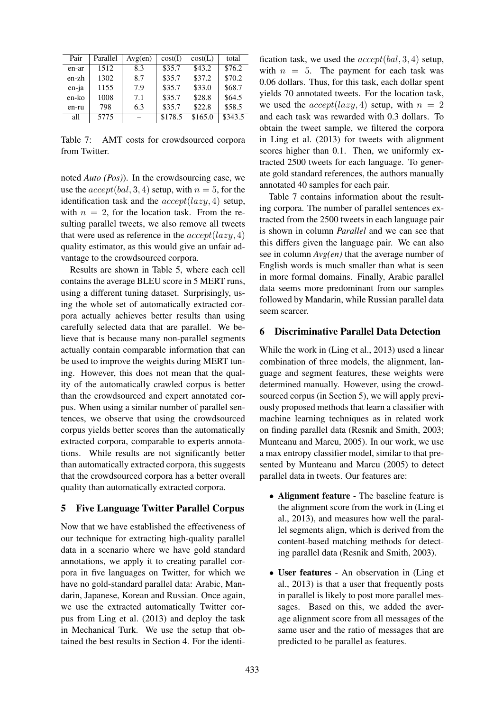| Pair  | Parallel | Avg(en) | cost(I) | cost(L) | total   |
|-------|----------|---------|---------|---------|---------|
| en-ar | 1512     | 8.3     | \$35.7  | \$43.2  | \$76.2  |
| en-zh | 1302     | 8.7     | \$35.7  | \$37.2  | \$70.2  |
| en-ja | 1155     | 7.9     | \$35.7  | \$33.0  | \$68.7  |
| en-ko | 1008     | 7.1     | \$35.7  | \$28.8  | \$64.5  |
| en-ru | 798      | 6.3     | \$35.7  | \$22.8  | \$58.5  |
| all   | 5775     |         | \$178.5 | \$165.0 | \$343.5 |

Table 7: AMT costs for crowdsourced corpora from Twitter.

noted *Auto (Pos)*). In the crowdsourcing case, we use the  $accept(bal, 3, 4)$  setup, with  $n = 5$ , for the identification task and the  $accept(lazy, 4)$  setup, with  $n = 2$ , for the location task. From the resulting parallel tweets, we also remove all tweets that were used as reference in the  $accept(lazy, 4)$ quality estimator, as this would give an unfair advantage to the crowdsourced corpora.

Results are shown in Table 5, where each cell contains the average BLEU score in 5 MERT runs, using a different tuning dataset. Surprisingly, using the whole set of automatically extracted corpora actually achieves better results than using carefully selected data that are parallel. We believe that is because many non-parallel segments actually contain comparable information that can be used to improve the weights during MERT tuning. However, this does not mean that the quality of the automatically crawled corpus is better than the crowdsourced and expert annotated corpus. When using a similar number of parallel sentences, we observe that using the crowdsourced corpus yields better scores than the automatically extracted corpora, comparable to experts annotations. While results are not significantly better than automatically extracted corpora, this suggests that the crowdsourced corpora has a better overall quality than automatically extracted corpora.

## 5 Five Language Twitter Parallel Corpus

Now that we have established the effectiveness of our technique for extracting high-quality parallel data in a scenario where we have gold standard annotations, we apply it to creating parallel corpora in five languages on Twitter, for which we have no gold-standard parallel data: Arabic, Mandarin, Japanese, Korean and Russian. Once again, we use the extracted automatically Twitter corpus from Ling et al. (2013) and deploy the task in Mechanical Turk. We use the setup that obtained the best results in Section 4. For the identi-

fication task, we used the  $accept(bal, 3, 4)$  setup, with  $n = 5$ . The payment for each task was 0.06 dollars. Thus, for this task, each dollar spent yields 70 annotated tweets. For the location task, we used the  $accept(lazy, 4)$  setup, with  $n = 2$ and each task was rewarded with 0.3 dollars. To obtain the tweet sample, we filtered the corpora in Ling et al. (2013) for tweets with alignment scores higher than 0.1. Then, we uniformly extracted 2500 tweets for each language. To generate gold standard references, the authors manually annotated 40 samples for each pair.

Table 7 contains information about the resulting corpora. The number of parallel sentences extracted from the 2500 tweets in each language pair is shown in column *Parallel* and we can see that this differs given the language pair. We can also see in column *Avg(en)* that the average number of English words is much smaller than what is seen in more formal domains. Finally, Arabic parallel data seems more predominant from our samples followed by Mandarin, while Russian parallel data seem scarcer.

## 6 Discriminative Parallel Data Detection

While the work in (Ling et al., 2013) used a linear combination of three models, the alignment, language and segment features, these weights were determined manually. However, using the crowdsourced corpus (in Section 5), we will apply previously proposed methods that learn a classifier with machine learning techniques as in related work on finding parallel data (Resnik and Smith, 2003; Munteanu and Marcu, 2005). In our work, we use a max entropy classifier model, similar to that presented by Munteanu and Marcu (2005) to detect parallel data in tweets. Our features are:

- Alignment feature The baseline feature is the alignment score from the work in (Ling et al., 2013), and measures how well the parallel segments align, which is derived from the content-based matching methods for detecting parallel data (Resnik and Smith, 2003).
- User features An observation in (Ling et al., 2013) is that a user that frequently posts in parallel is likely to post more parallel messages. Based on this, we added the average alignment score from all messages of the same user and the ratio of messages that are predicted to be parallel as features.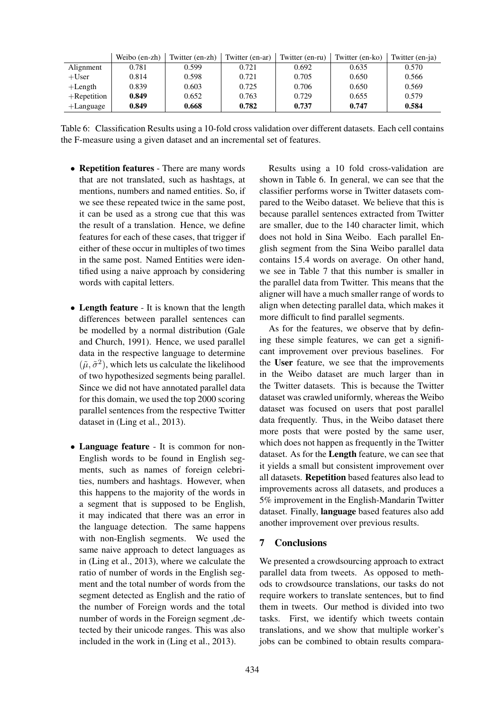|                | Weibo (en-zh) | Twitter (en-zh) | Twitter (en-ar) | Twitter (en-ru) | Twitter (en-ko) | Twitter (en-ja) |
|----------------|---------------|-----------------|-----------------|-----------------|-----------------|-----------------|
| Alignment      | 0.781         | 0.599           | 0.721           | 0.692           | 0.635           | 0.570           |
| $+$ User       | 0.814         | 0.598           | 0.721           | 0.705           | 0.650           | 0.566           |
| $+$ Length     | 0.839         | 0.603           | 0.725           | 0.706           | 0.650           | 0.569           |
| $+$ Repetition | 0.849         | 0.652           | 0.763           | 0.729           | 0.655           | 0.579           |
| $+$ Language   | 0.849         | 0.668           | 0.782           | 0.737           | 0.747           | 0.584           |

Table 6: Classification Results using a 10-fold cross validation over different datasets. Each cell contains the F-measure using a given dataset and an incremental set of features.

- Repetition features There are many words that are not translated, such as hashtags, at mentions, numbers and named entities. So, if we see these repeated twice in the same post, it can be used as a strong cue that this was the result of a translation. Hence, we define features for each of these cases, that trigger if either of these occur in multiples of two times in the same post. Named Entities were identified using a naive approach by considering words with capital letters.
- Length feature It is known that the length differences between parallel sentences can be modelled by a normal distribution (Gale and Church, 1991). Hence, we used parallel data in the respective language to determine  $(\tilde{\mu}, \tilde{\sigma}^2)$ , which lets us calculate the likelihood of two hypothesized segments being parallel. Since we did not have annotated parallel data for this domain, we used the top 2000 scoring parallel sentences from the respective Twitter dataset in (Ling et al., 2013).
- Language feature It is common for non-English words to be found in English segments, such as names of foreign celebrities, numbers and hashtags. However, when this happens to the majority of the words in a segment that is supposed to be English, it may indicated that there was an error in the language detection. The same happens with non-English segments. We used the same naive approach to detect languages as in (Ling et al., 2013), where we calculate the ratio of number of words in the English segment and the total number of words from the segment detected as English and the ratio of the number of Foreign words and the total number of words in the Foreign segment ,detected by their unicode ranges. This was also included in the work in (Ling et al., 2013).

Results using a 10 fold cross-validation are shown in Table 6. In general, we can see that the classifier performs worse in Twitter datasets compared to the Weibo dataset. We believe that this is because parallel sentences extracted from Twitter are smaller, due to the 140 character limit, which does not hold in Sina Weibo. Each parallel English segment from the Sina Weibo parallel data contains 15.4 words on average. On other hand, we see in Table 7 that this number is smaller in the parallel data from Twitter. This means that the aligner will have a much smaller range of words to align when detecting parallel data, which makes it more difficult to find parallel segments.

As for the features, we observe that by defining these simple features, we can get a significant improvement over previous baselines. For the User feature, we see that the improvements in the Weibo dataset are much larger than in the Twitter datasets. This is because the Twitter dataset was crawled uniformly, whereas the Weibo dataset was focused on users that post parallel data frequently. Thus, in the Weibo dataset there more posts that were posted by the same user, which does not happen as frequently in the Twitter dataset. As for the Length feature, we can see that it yields a small but consistent improvement over all datasets. Repetition based features also lead to improvements across all datasets, and produces a 5% improvement in the English-Mandarin Twitter dataset. Finally, language based features also add another improvement over previous results.

## 7 Conclusions

We presented a crowdsourcing approach to extract parallel data from tweets. As opposed to methods to crowdsource translations, our tasks do not require workers to translate sentences, but to find them in tweets. Our method is divided into two tasks. First, we identify which tweets contain translations, and we show that multiple worker's jobs can be combined to obtain results compara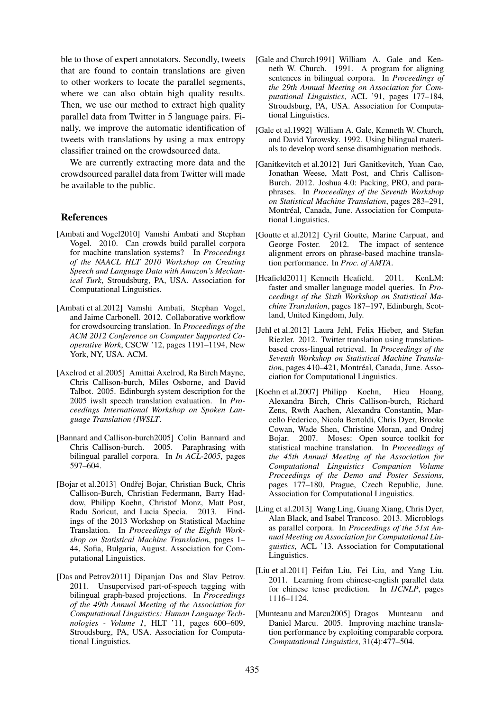ble to those of expert annotators. Secondly, tweets that are found to contain translations are given to other workers to locate the parallel segments, where we can also obtain high quality results. Then, we use our method to extract high quality parallel data from Twitter in 5 language pairs. Finally, we improve the automatic identification of tweets with translations by using a max entropy classifier trained on the crowdsourced data.

We are currently extracting more data and the crowdsourced parallel data from Twitter will made be available to the public.

### References

- [Ambati and Vogel2010] Vamshi Ambati and Stephan Vogel. 2010. Can crowds build parallel corpora for machine translation systems? In *Proceedings of the NAACL HLT 2010 Workshop on Creating Speech and Language Data with Amazon's Mechanical Turk*, Stroudsburg, PA, USA. Association for Computational Linguistics.
- [Ambati et al.2012] Vamshi Ambati, Stephan Vogel, and Jaime Carbonell. 2012. Collaborative workflow for crowdsourcing translation. In *Proceedings of the ACM 2012 Conference on Computer Supported Cooperative Work*, CSCW '12, pages 1191–1194, New York, NY, USA. ACM.
- [Axelrod et al.2005] Amittai Axelrod, Ra Birch Mayne, Chris Callison-burch, Miles Osborne, and David Talbot. 2005. Edinburgh system description for the 2005 iwslt speech translation evaluation. In *Proceedings International Workshop on Spoken Language Translation (IWSLT*.
- [Bannard and Callison-burch2005] Colin Bannard and Chris Callison-burch. 2005. Paraphrasing with bilingual parallel corpora. In *In ACL-2005*, pages 597–604.
- [Bojar et al.2013] Ondřej Bojar, Christian Buck, Chris Callison-Burch, Christian Federmann, Barry Haddow, Philipp Koehn, Christof Monz, Matt Post, Radu Soricut, and Lucia Specia. 2013. Findings of the 2013 Workshop on Statistical Machine Translation. In *Proceedings of the Eighth Workshop on Statistical Machine Translation*, pages 1– 44, Sofia, Bulgaria, August. Association for Computational Linguistics.
- [Das and Petrov2011] Dipanjan Das and Slav Petrov. 2011. Unsupervised part-of-speech tagging with bilingual graph-based projections. In *Proceedings of the 49th Annual Meeting of the Association for Computational Linguistics: Human Language Technologies - Volume 1*, HLT '11, pages 600–609, Stroudsburg, PA, USA. Association for Computational Linguistics.
- [Gale and Church1991] William A. Gale and Kenneth W. Church. 1991. A program for aligning sentences in bilingual corpora. In *Proceedings of the 29th Annual Meeting on Association for Computational Linguistics*, ACL '91, pages 177–184, Stroudsburg, PA, USA. Association for Computational Linguistics.
- [Gale et al.1992] William A. Gale, Kenneth W. Church, and David Yarowsky. 1992. Using bilingual materials to develop word sense disambiguation methods.
- [Ganitkevitch et al.2012] Juri Ganitkevitch, Yuan Cao, Jonathan Weese, Matt Post, and Chris Callison-Burch. 2012. Joshua 4.0: Packing, PRO, and paraphrases. In *Proceedings of the Seventh Workshop on Statistical Machine Translation*, pages 283–291, Montréal, Canada, June. Association for Computational Linguistics.
- [Goutte et al.2012] Cyril Goutte, Marine Carpuat, and George Foster. 2012. The impact of sentence alignment errors on phrase-based machine translation performance. In *Proc. of AMTA*.
- [Heafield2011] Kenneth Heafield. 2011. KenLM: faster and smaller language model queries. In *Proceedings of the Sixth Workshop on Statistical Machine Translation*, pages 187–197, Edinburgh, Scotland, United Kingdom, July.
- [Jehl et al.2012] Laura Jehl, Felix Hieber, and Stefan Riezler. 2012. Twitter translation using translationbased cross-lingual retrieval. In *Proceedings of the Seventh Workshop on Statistical Machine Translation*, pages 410–421, Montréal, Canada, June. Association for Computational Linguistics.
- [Koehn et al.2007] Philipp Koehn, Hieu Hoang, Alexandra Birch, Chris Callison-burch, Richard Zens, Rwth Aachen, Alexandra Constantin, Marcello Federico, Nicola Bertoldi, Chris Dyer, Brooke Cowan, Wade Shen, Christine Moran, and Ondrej Bojar. 2007. Moses: Open source toolkit for statistical machine translation. In *Proceedings of the 45th Annual Meeting of the Association for Computational Linguistics Companion Volume Proceedings of the Demo and Poster Sessions*, pages 177–180, Prague, Czech Republic, June. Association for Computational Linguistics.
- [Ling et al.2013] Wang Ling, Guang Xiang, Chris Dyer, Alan Black, and Isabel Trancoso. 2013. Microblogs as parallel corpora. In *Proceedings of the 51st Annual Meeting on Association for Computational Linguistics*, ACL '13. Association for Computational Linguistics.
- [Liu et al.2011] Feifan Liu, Fei Liu, and Yang Liu. 2011. Learning from chinese-english parallel data for chinese tense prediction. In *IJCNLP*, pages 1116–1124.
- [Munteanu and Marcu2005] Dragos Munteanu and Daniel Marcu. 2005. Improving machine translation performance by exploiting comparable corpora. *Computational Linguistics*, 31(4):477–504.